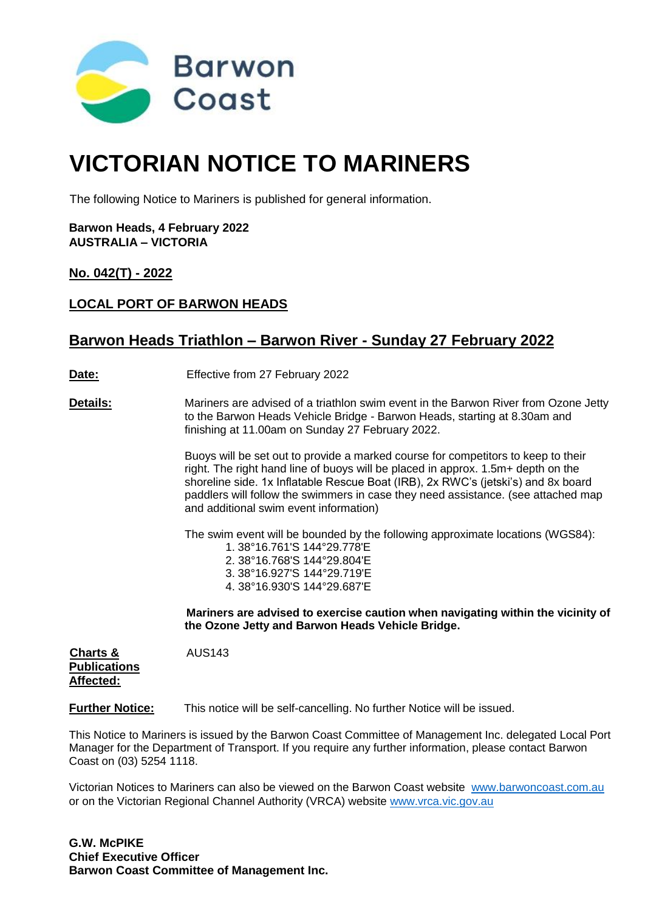

# **VICTORIAN NOTICE TO MARINERS**

The following Notice to Mariners is published for general information.

**Barwon Heads, 4 February 2022 AUSTRALIA – VICTORIA**

**No. 042(T) - 2022**

## **LOCAL PORT OF BARWON HEADS**

## **Barwon Heads Triathlon – Barwon River - Sunday 27 February 2022**

**Date:** Effective from 27 February 2022

**Details:** Mariners are advised of a triathlon swim event in the Barwon River from Ozone Jetty to the Barwon Heads Vehicle Bridge - Barwon Heads, starting at 8.30am and finishing at 11.00am on Sunday 27 February 2022.

> Buoys will be set out to provide a marked course for competitors to keep to their right. The right hand line of buoys will be placed in approx. 1.5m+ depth on the shoreline side. 1x Inflatable Rescue Boat (IRB), 2x RWC's (jetski's) and 8x board paddlers will follow the swimmers in case they need assistance. (see attached map and additional swim event information)

The swim event will be bounded by the following approximate locations (WGS84):

|  | 1.38°16.761'S 144°29.778'E  |
|--|-----------------------------|
|  | 2. 38°16.768′S 144°29.804′E |
|  | 3.38°16.927'S 144°29.719'E  |
|  | 4.38°16.930'S 144°29.687'E  |

**Mariners are advised to exercise caution when navigating within the vicinity of the Ozone Jetty and Barwon Heads Vehicle Bridge.**

**Charts &** AUS143 **Publications Affected:**

**Further Notice:** This notice will be self-cancelling. No further Notice will be issued.

This Notice to Mariners is issued by the Barwon Coast Committee of Management Inc. delegated Local Port Manager for the Department of Transport. If you require any further information, please contact Barwon Coast on (03) 5254 1118.

Victorian Notices to Mariners can also be viewed on the Barwon Coast website www.barwoncoast.com.au or on the Victorian Regional Channel Authority (VRCA) website [www.vrca.vic.gov.au](http://www.vrca.vic.gov.au/)

**G.W. McPIKE Chief Executive Officer Barwon Coast Committee of Management Inc.**